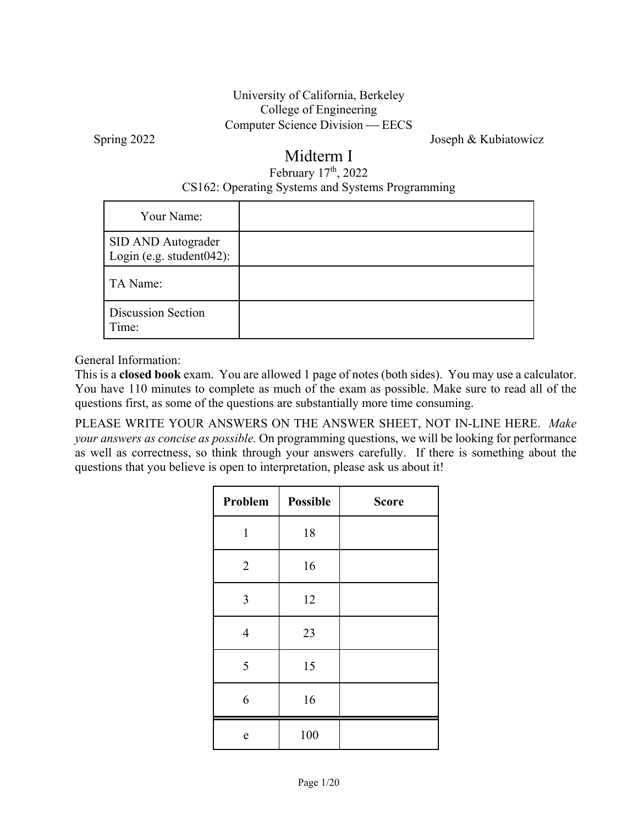### University of California, Berkeley College of Engineering Computer Science Division — EECS

Spring 2022 Joseph & Kubiatowicz

## Midterm I

### February 17<sup>th</sup>, 2022 CS162: Operating Systems and Systems Programming

| Your Name:                                         |  |
|----------------------------------------------------|--|
| SID AND Autograder<br>Login (e.g. student $042$ ): |  |
| TA Name:                                           |  |
| <b>Discussion Section</b><br>Time:                 |  |

General Information:

This is a **closed book** exam. You are allowed 1 page of notes (both sides). You may use a calculator. You have 110 minutes to complete as much of the exam as possible. Make sure to read all of the questions first, as some of the questions are substantially more time consuming.

PLEASE WRITE YOUR ANSWERS ON THE ANSWER SHEET, NOT IN-LINE HERE. *Make your answers as concise as possible.* On programming questions, we will be looking for performance as well as correctness, so think through your answers carefully. If there is something about the questions that you believe is open to interpretation, please ask us about it!

| Problem        | <b>Possible</b> | <b>Score</b> |
|----------------|-----------------|--------------|
| $\mathbf{1}$   | 18              |              |
| $\overline{2}$ | 16              |              |
| 3              | 12              |              |
| $\overline{4}$ | 23              |              |
| 5              | 15              |              |
| 6              | 16              |              |
| e              | 100             |              |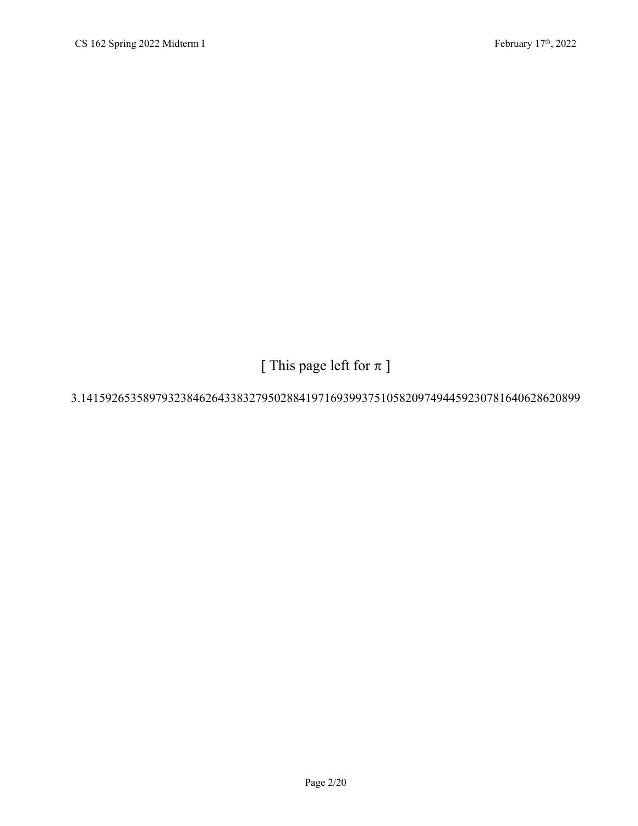[ This page left for  $\pi$  ]

### 3.14159265358979323846264338327950288419716939937510582097494459230781640628620899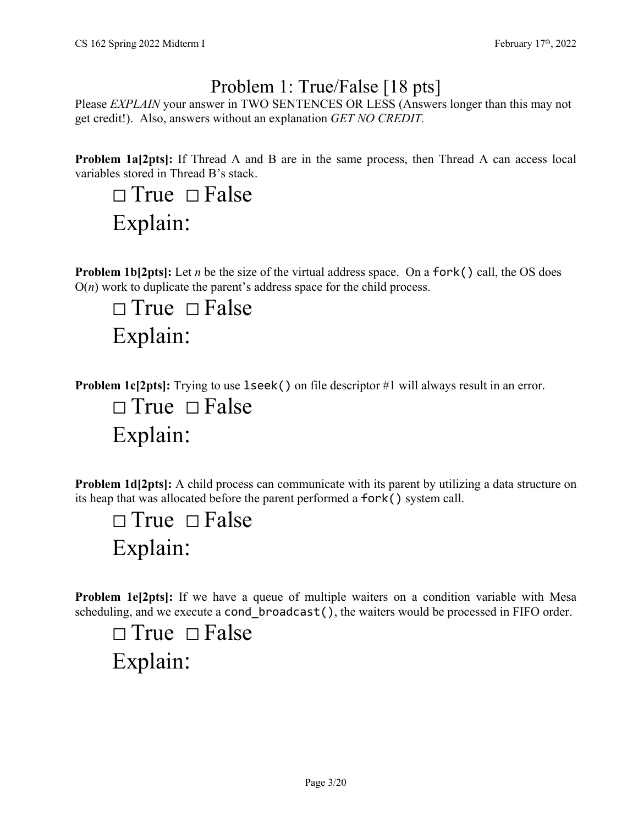# Problem 1: True/False [18 pts]

Please *EXPLAIN* your answer in TWO SENTENCES OR LESS (Answers longer than this may not get credit!). Also, answers without an explanation *GET NO CREDIT.* 

**Problem 1a[2pts]:** If Thread A and B are in the same process, then Thread A can access local variables stored in Thread B's stack.

 $\Box$  True  $\Box$  False Explain:

**Problem 1b[2pts]:** Let *n* be the size of the virtual address space. On a fork() call, the OS does  $O(n)$  work to duplicate the parent's address space for the child process.

 $\Box$  True  $\Box$  False Explain:

**Problem 1c[2pts]:** Trying to use 1seek() on file descriptor #1 will always result in an error.

 $\square$  True  $\square$  False Explain:

**Problem 1d[2pts]:** A child process can communicate with its parent by utilizing a data structure on its heap that was allocated before the parent performed a fork() system call.

 $\Box$  True  $\Box$  False Explain:

**Problem 1e[2pts]:** If we have a queue of multiple waiters on a condition variable with Mesa scheduling, and we execute a cond broadcast(), the waiters would be processed in FIFO order.

 $\Box$  True  $\Box$  False Explain: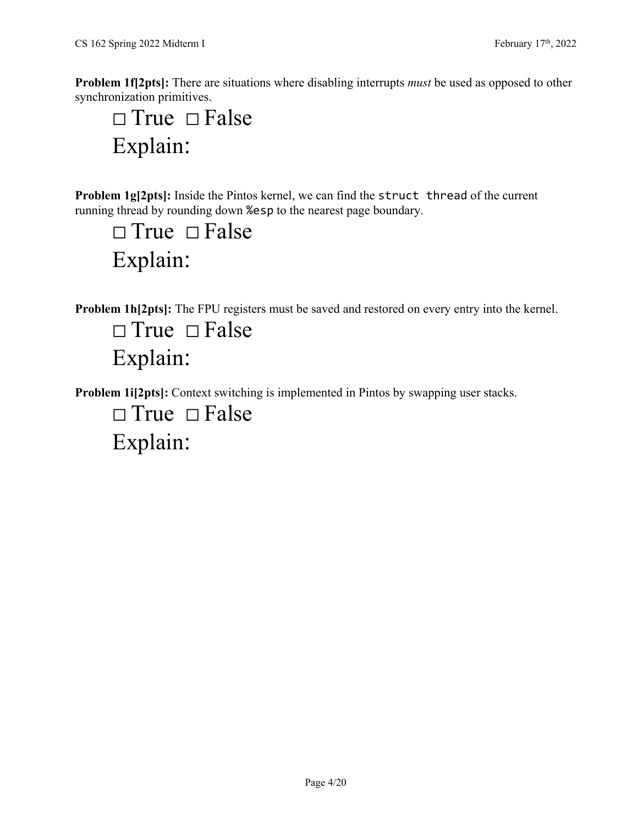**Problem 1f[2pts]:** There are situations where disabling interrupts *must* be used as opposed to other synchronization primitives.

 $\Box$  True  $\Box$  False Explain:

**Problem 1g[2pts]:** Inside the Pintos kernel, we can find the struct thread of the current running thread by rounding down %esp to the nearest page boundary.

 $\square$  True  $\square$  False Explain:

**Problem 1h[2pts]:** The FPU registers must be saved and restored on every entry into the kernel.

 $\Box$  True  $\Box$  False Explain:

**Problem 1i[2pts]:** Context switching is implemented in Pintos by swapping user stacks.

 $\square$  True  $\square$  False Explain: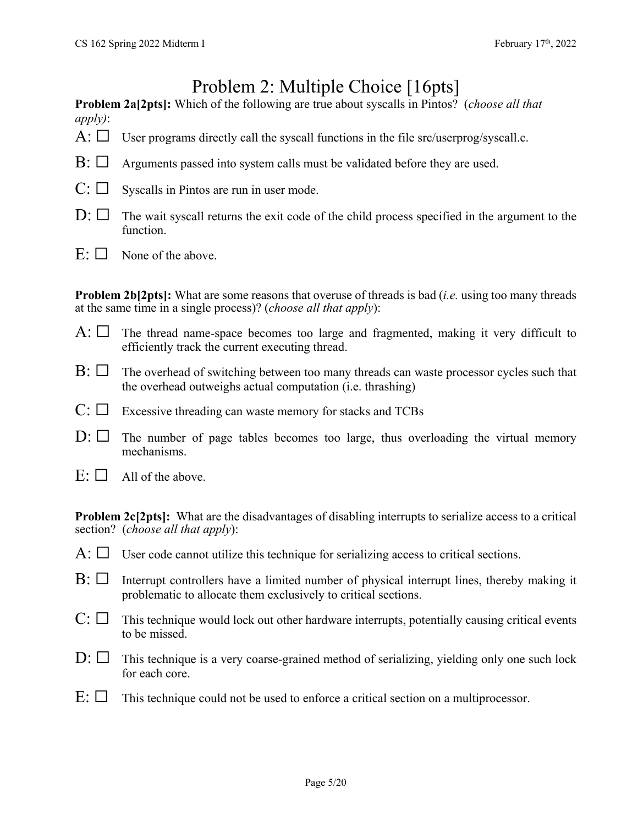# Problem 2: Multiple Choice [16pts]

**Problem 2a[2pts]:** Which of the following are true about syscalls in Pintos? (*choose all that apply)*:

- A:  $\Box$  User programs directly call the syscall functions in the file src/userprog/syscall.c.
- $\mathrm{B:} \square$  Arguments passed into system calls must be validated before they are used.
- $C: \Box$  Syscalls in Pintos are run in user mode.
- $D: \Box$  The wait syscall returns the exit code of the child process specified in the argument to the function.
- $E: \Box$  None of the above.

**Problem 2b[2pts]:** What are some reasons that overuse of threads is bad (*i.e.* using too many threads at the same time in a single process)? (*choose all that apply*):

- $A: \Box$  The thread name-space becomes too large and fragmented, making it very difficult to efficiently track the current executing thread.
- $\mathrm{B:} \Box$  The overhead of switching between too many threads can waste processor cycles such that the overhead outweighs actual computation (i.e. thrashing)
- $C: \Box$  Excessive threading can waste memory for stacks and TCBs
- $D: \Box$  The number of page tables becomes too large, thus overloading the virtual memory mechanisms.
- $E: \Box$  All of the above.

**Problem 2c[2pts]:** What are the disadvantages of disabling interrupts to serialize access to a critical section? (*choose all that apply*):

- $A: \Box$  User code cannot utilize this technique for serializing access to critical sections.
- $B: \Box$  Interrupt controllers have a limited number of physical interrupt lines, thereby making it problematic to allocate them exclusively to critical sections.
- $C: \Box$  This technique would lock out other hardware interrupts, potentially causing critical events to be missed.
- $D: \Box$  This technique is a very coarse-grained method of serializing, yielding only one such lock for each core.
- $E: \Box$  This technique could not be used to enforce a critical section on a multiprocessor.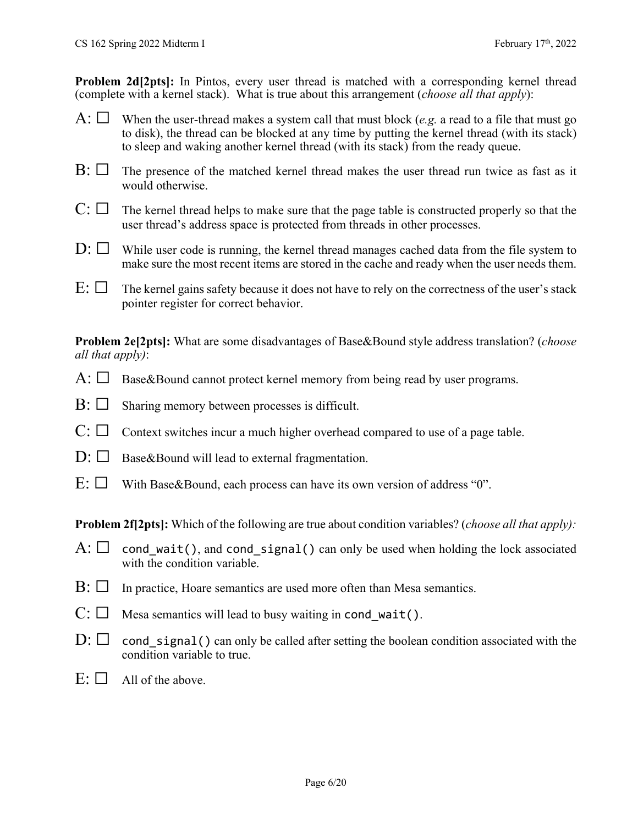**Problem 2d(2pts):** In Pintos, every user thread is matched with a corresponding kernel thread (complete with a kernel stack). What is true about this arrangement (*choose all that apply*):

- A:  $\Box$  When the user-thread makes a system call that must block (*e.g.* a read to a file that must go to disk), the thread can be blocked at any time by putting the kernel thread (with its stack) to sleep and waking another kernel thread (with its stack) from the ready queue.
- $\mathrm{B:}\square$  The presence of the matched kernel thread makes the user thread run twice as fast as it would otherwise.
- $C: \Box$  The kernel thread helps to make sure that the page table is constructed properly so that the user thread's address space is protected from threads in other processes.
- $D: \Box$  While user code is running, the kernel thread manages cached data from the file system to make sure the most recent items are stored in the cache and ready when the user needs them.
- $E: \Box$  The kernel gains safety because it does not have to rely on the correctness of the user's stack pointer register for correct behavior.

**Problem 2e[2pts]:** What are some disadvantages of Base&Bound style address translation? (*choose all that apply)*:

- $A: \Box$  Base&Bound cannot protect kernel memory from being read by user programs.
- $\mathrm{B:} \Box$  Sharing memory between processes is difficult.
- $C: \Box$  Context switches incur a much higher overhead compared to use of a page table.
- $D: \Box$  Base&Bound will lead to external fragmentation.
- $E: \Box$  With Base & Bound, each process can have its own version of address "0".

**Problem 2f[2pts]:** Which of the following are true about condition variables? *(choose all that apply)*:

- A:  $\Box$  cond wait(), and cond signal() can only be used when holding the lock associated with the condition variable.
- $\mathrm{B}$ :  $\square$  In practice, Hoare semantics are used more often than Mesa semantics.
- $C: \Box$  Mesa semantics will lead to busy waiting in cond\_wait().
- $D: \Box$  cond signal() can only be called after setting the boolean condition associated with the condition variable to true.
- $E: \Box$  All of the above.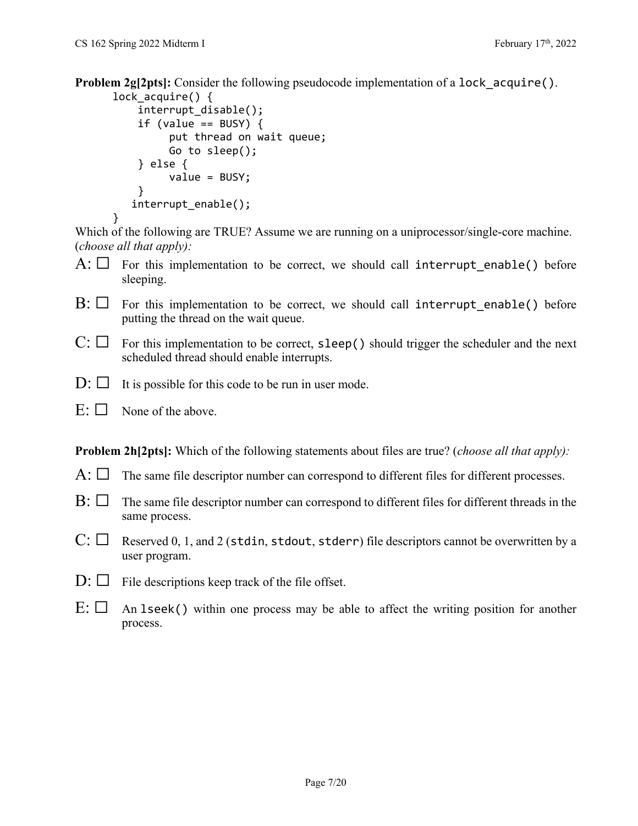**Problem 2g[2pts]:** Consider the following pseudocode implementation of a lock acquire().

```
lock acquire() \{    interrupt_disable();
     if (value == BUSY) {
                    put thread on wait queue;
                    Go to sleep();
         } else {
                    value = BUSY;
         }
       interrupt_enable();
}
```
Which of the following are TRUE? Assume we are running on a uniprocessor/single-core machine. (*choose all that apply):* 

- $A: \Box$  For this implementation to be correct, we should call interrupt enable() before sleeping.
- $B: \Box$  For this implementation to be correct, we should call interrupt enable() before putting the thread on the wait queue.
- $C: \Box$  For this implementation to be correct, sleep() should trigger the scheduler and the next scheduled thread should enable interrupts.
- $D: \Box$  It is possible for this code to be run in user mode.
- $E: \Box$  None of the above.

**Problem 2h[2pts]:** Which of the following statements about files are true? (*choose all that apply):* 

- $A: \Box$  The same file descriptor number can correspond to different files for different processes.
- $\mathrm{B}$ :  $\Box$  The same file descriptor number can correspond to different files for different threads in the same process.
- $C: \Box$  Reserved 0, 1, and 2 (stdin, stdout, stderr) file descriptors cannot be overwritten by a user program.
- $D: \Box$  File descriptions keep track of the file offset.
- $E: \Box$  An 1 seek() within one process may be able to affect the writing position for another process.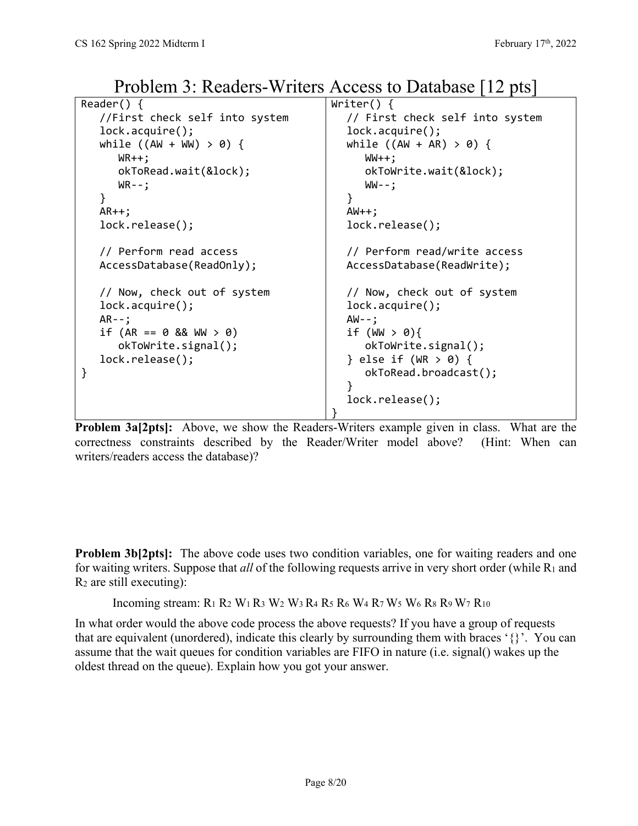```
Reader() {
   //First check self into system
   lock.acquire();
   while ((AW + WW) > 0) {
          WR++;  
          okToRead.wait(&lock);   
      WR - -;
   }
   AR++;  
   lock.release();
   // Perform read access
   AccessDatabase(ReadOnly);
   // Now, check out of system
   lock.acquire();
   AR - -if (AR == 0 88  WW > 0)    okToWrite.signal();
   lock.release();
}
                                            Writer() {
                                               // First check self into system
                                               lock.acquire();
                                               while ((AW + AR) > 0) {
                                                      WW++;  
                                                      okToWrite.wait(&lock);
                                                      WW‐‐;  
                                               }
                                               AW++;lock.release();
                                               // Perform read/write access
                                               AccessDatabase(ReadWrite);
                                               // Now, check out of system
                                               lock.acquire();
                                               AW‐‐;    
                                               if (WW > 0){
                                                      okToWrite.signal();   
                                               } else if (WR > 0) {   
                                                      okToRead.broadcast();
                                               }   
                                               lock.release();
                                            }
```
Problem 3: Readers-Writers Access to Database [12 pts]

**Problem 3a[2pts]:** Above, we show the Readers-Writers example given in class. What are the correctness constraints described by the Reader/Writer model above? (Hint: When can writers/readers access the database)?

**Problem 3b[2pts]:** The above code uses two condition variables, one for waiting readers and one for waiting writers. Suppose that *all* of the following requests arrive in very short order (while R1 and  $R_2$  are still executing):

Incoming stream:  $R_1 R_2 W_1 R_3 W_2 W_3 R_4 R_5 R_6 W_4 R_7 W_5 W_6 R_8 R_9 W_7 R_{10}$ 

In what order would the above code process the above requests? If you have a group of requests that are equivalent (unordered), indicate this clearly by surrounding them with braces '{}'. You can assume that the wait queues for condition variables are FIFO in nature (i.e. signal() wakes up the oldest thread on the queue). Explain how you got your answer.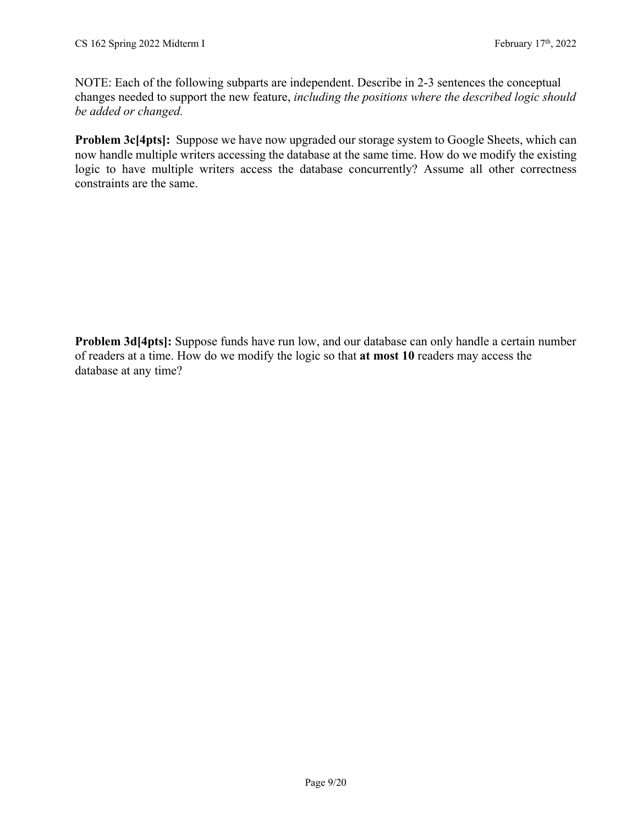NOTE: Each of the following subparts are independent. Describe in 2-3 sentences the conceptual changes needed to support the new feature, *including the positions where the described logic should be added or changed.* 

**Problem 3c[4pts]:** Suppose we have now upgraded our storage system to Google Sheets, which can now handle multiple writers accessing the database at the same time. How do we modify the existing logic to have multiple writers access the database concurrently? Assume all other correctness constraints are the same.

**Problem 3d[4pts]:** Suppose funds have run low, and our database can only handle a certain number of readers at a time. How do we modify the logic so that **at most 10** readers may access the database at any time?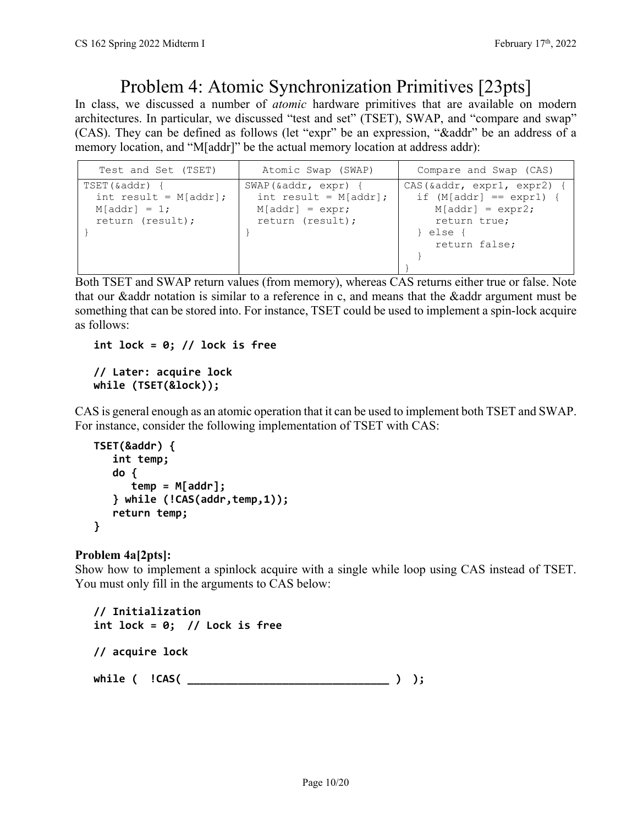## Problem 4: Atomic Synchronization Primitives [23pts]

In class, we discussed a number of *atomic* hardware primitives that are available on modern architectures. In particular, we discussed "test and set" (TSET), SWAP, and "compare and swap" (CAS). They can be defined as follows (let "expr" be an expression, "&addr" be an address of a memory location, and "M[addr]" be the actual memory location at address addr):

| Test and Set (TSET)                                                             | Atomic Swap (SWAP)                                                                       | Compare and Swap (CAS)                                                                                                        |
|---------------------------------------------------------------------------------|------------------------------------------------------------------------------------------|-------------------------------------------------------------------------------------------------------------------------------|
| TSET(&addr) {<br>int result = $M[addr]$ ;<br>$M[addr] = 1;$<br>return (result); | SWAP(&addr, expr) {<br>int result = $M[addr]$ ;<br>$M[addr] = expr;$<br>return (result); | $CAS(\&addr, expr1, expr2)$ {<br>if $(M[addr] == expr1)$ {<br>$M[addr] = expr2;$<br>return true;<br>} else {<br>return false; |

Both TSET and SWAP return values (from memory), whereas CAS returns either true or false. Note that our &addr notation is similar to a reference in c, and means that the &addr argument must be something that can be stored into. For instance, TSET could be used to implement a spin-lock acquire as follows:

**int lock = 0; // lock is free**

### **// Later: acquire lock while (TSET(&lock));**

CAS is general enough as an atomic operation that it can be used to implement both TSET and SWAP. For instance, consider the following implementation of TSET with CAS:

```
TSET(&addr) {
       int temp;
       do {
           temp = M[addr];
       } while (!CAS(addr,temp,1));
       return temp;
}
```
### **Problem 4a[2pts]:**

Show how to implement a spinlock acquire with a single while loop using CAS instead of TSET. You must only fill in the arguments to CAS below:

```
// Initialization
int lock = 0; // Lock is free
// acquire lock
while ( !CAS( ________________________________ ) );
```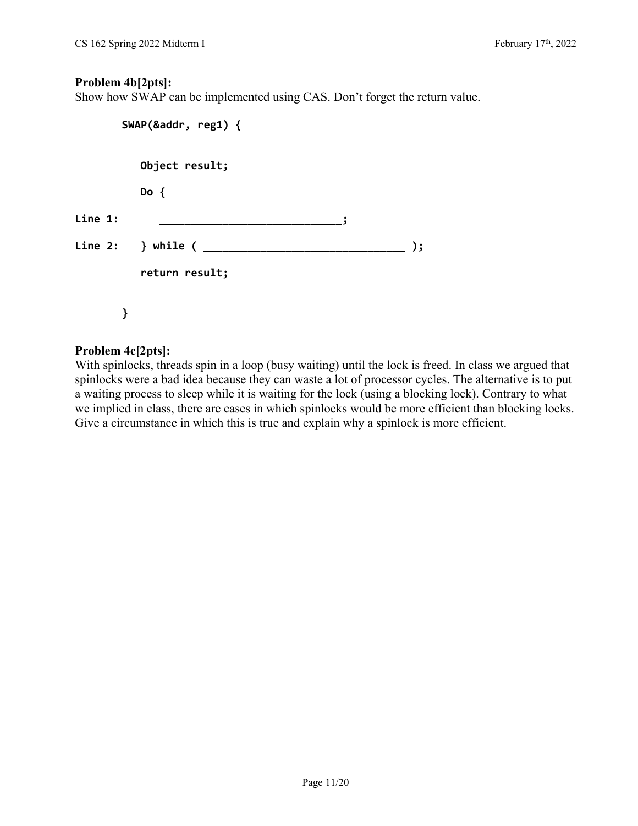#### **Problem 4b[2pts]:**

Show how SWAP can be implemented using CAS. Don't forget the return value.

|         | SWAP(&addr, reg1) {           |    |
|---------|-------------------------------|----|
|         | Object result;                |    |
|         | Do $\{$                       |    |
| Line 1: |                               |    |
|         | Line 2: $\,$ } while ( $\_\_$ | ); |
|         | return result;                |    |
|         |                               |    |
|         |                               |    |

### **Problem 4c[2pts]:**

With spinlocks, threads spin in a loop (busy waiting) until the lock is freed. In class we argued that spinlocks were a bad idea because they can waste a lot of processor cycles. The alternative is to put a waiting process to sleep while it is waiting for the lock (using a blocking lock). Contrary to what we implied in class, there are cases in which spinlocks would be more efficient than blocking locks. Give a circumstance in which this is true and explain why a spinlock is more efficient.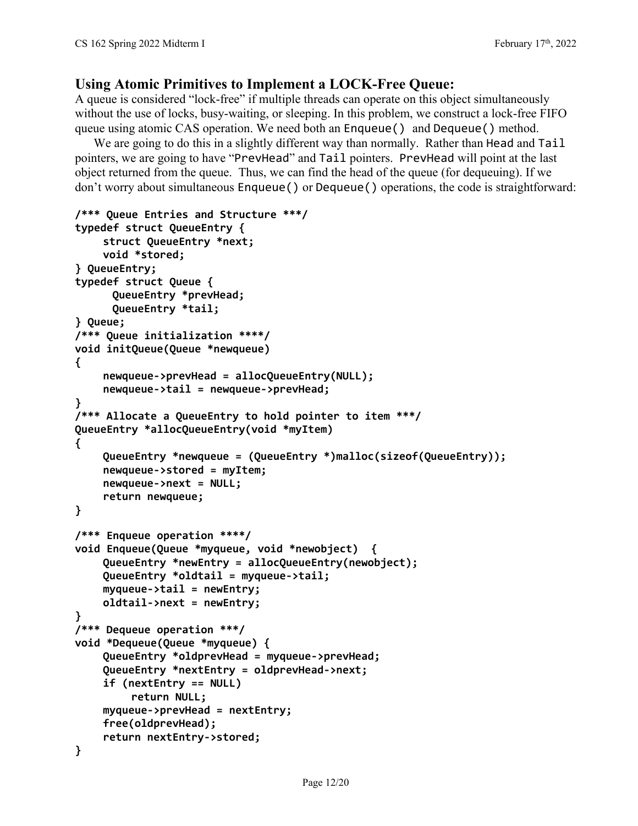### **Using Atomic Primitives to Implement a LOCK-Free Queue:**

A queue is considered "lock-free" if multiple threads can operate on this object simultaneously without the use of locks, busy-waiting, or sleeping. In this problem, we construct a lock-free FIFO queue using atomic CAS operation. We need both an Enqueue() and Dequeue() method.

We are going to do this in a slightly different way than normally. Rather than Head and Tail pointers, we are going to have "PrevHead" and Tail pointers. PrevHead will point at the last object returned from the queue. Thus, we can find the head of the queue (for dequeuing). If we don't worry about simultaneous Enqueue() or Dequeue() operations, the code is straightforward:

```
/*** Queue Entries and Structure ***/
typedef struct QueueEntry {     
    struct QueueEntry *next;
    void *stored;
} QueueEntry;
typedef struct Queue {   
      QueueEntry *prevHead;
      QueueEntry *tail;
} Queue;
/*** Queue initialization ****/
void initQueue(Queue *newqueue)
{
    newqueue‐>prevHead = allocQueueEntry(NULL);
    newqueue‐>tail = newqueue‐>prevHead;
}
/*** Allocate a QueueEntry to hold pointer to item ***/
QueueEntry *allocQueueEntry(void *myItem)
{
    QueueEntry *newqueue = (QueueEntry *)malloc(sizeof(QueueEntry));
    newqueue‐>stored = myItem;
    newqueue‐>next = NULL;
    return newqueue;
}
/*** Enqueue operation ****/
void Enqueue(Queue *myqueue, void *newobject)  {
    QueueEntry *newEntry = allocQueueEntry(newobject);
    QueueEntry *oldtail = myqueue‐>tail;
    myqueue‐>tail = newEntry;
    oldtail‐>next = newEntry;
}
/*** Dequeue operation ***/
void *Dequeue(Queue *myqueue) {
    QueueEntry *oldprevHead = myqueue‐>prevHead;
    QueueEntry *nextEntry = oldprevHead‐>next;
    if (nextEntry == NULL)
             return NULL;
    myqueue‐>prevHead = nextEntry;
    free(oldprevHead);
    return nextEntry‐>stored;
}
```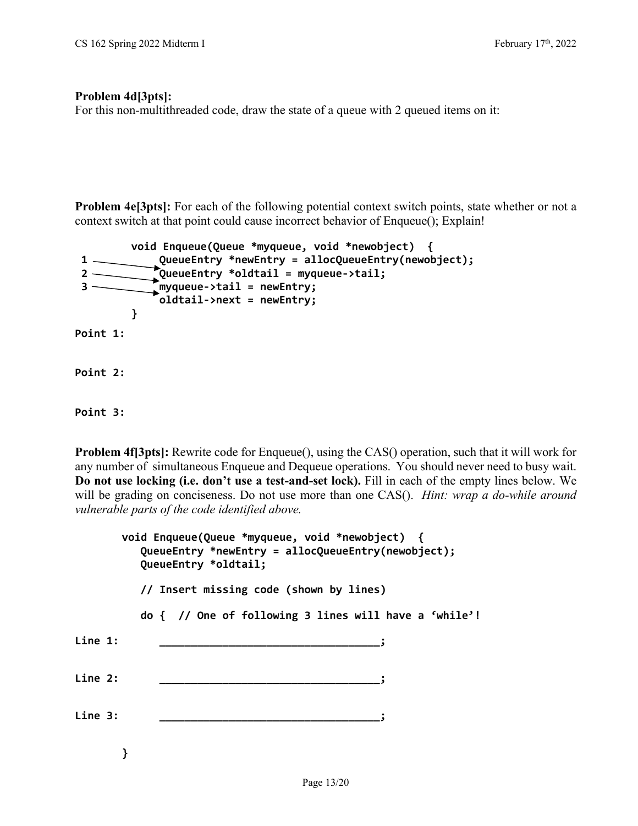#### **Problem 4d[3pts]:**

For this non-multithreaded code, draw the state of a queue with 2 queued items on it:

**Problem 4e[3pts]:** For each of the following potential context switch points, state whether or not a context switch at that point could cause incorrect behavior of Enqueue(); Explain!

```
    void Enqueue(Queue *myqueue, void *newobject)  {
 1     QueueEntry *newEntry = allocQueueEntry(newobject);
 2     QueueEntry *oldtail = myqueue‐>tail;
 3     myqueue‐>tail = newEntry;
                oldtail‐>next = newEntry;
            }
Point 1:
Point 2:
Point 3:
```
**Problem 4f**[3pts]: Rewrite code for Enqueue(), using the CAS() operation, such that it will work for any number of simultaneous Enqueue and Dequeue operations. You should never need to busy wait. **Do not use locking (i.e. don't use a test-and-set lock).** Fill in each of the empty lines below. We will be grading on conciseness. Do not use more than one CAS(). *Hint: wrap a do-while around vulnerable parts of the code identified above.* 

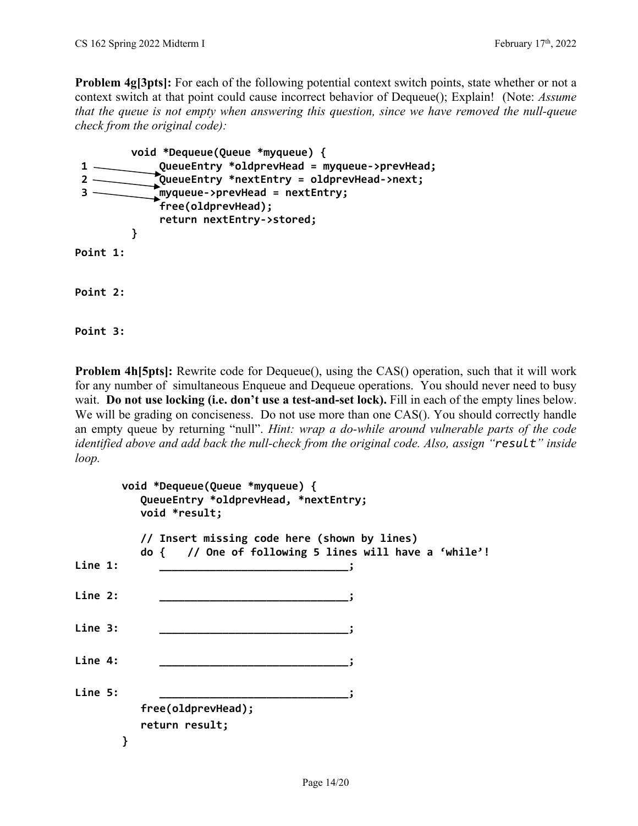**Problem 4g[3pts]:** For each of the following potential context switch points, state whether or not a context switch at that point could cause incorrect behavior of Dequeue(); Explain! (Note: *Assume that the queue is not empty when answering this question, since we have removed the null-queue check from the original code):*

```
    void *Dequeue(Queue *myqueue) {
 1     QueueEntry *oldprevHead = myqueue‐>prevHead;
 2     QueueEntry *nextEntry = oldprevHead‐>next;
 3       myqueue‐>prevHead = nextEntry;
                 free(oldprevHead);
                 return nextEntry‐>stored;
             }
Point 1:
Point 2:
Point 3:
```
**Problem 4h[5pts]:** Rewrite code for Dequeue(), using the CAS() operation, such that it will work for any number of simultaneous Enqueue and Dequeue operations. You should never need to busy wait. **Do not use locking (i.e. don't use a test-and-set lock).** Fill in each of the empty lines below. We will be grading on conciseness. Do not use more than one CAS(). You should correctly handle an empty queue by returning "null". *Hint: wrap a do-while around vulnerable parts of the code identified above and add back the null-check from the original code. Also, assign "result" inside loop.* 

|         |   | void *Dequeue(Queue *myqueue) {<br>QueueEntry *oldprevHead, *nextEntry;<br>void *result;              |
|---------|---|-------------------------------------------------------------------------------------------------------|
|         |   | // Insert missing code here (shown by lines)<br>do { // One of following 5 lines will have a 'while'! |
| Line 1: |   |                                                                                                       |
| Line 2: |   |                                                                                                       |
| Line 3: |   |                                                                                                       |
| Line 4: |   |                                                                                                       |
| Line 5: |   | free(oldprevHead);                                                                                    |
|         |   | return result;                                                                                        |
|         | } |                                                                                                       |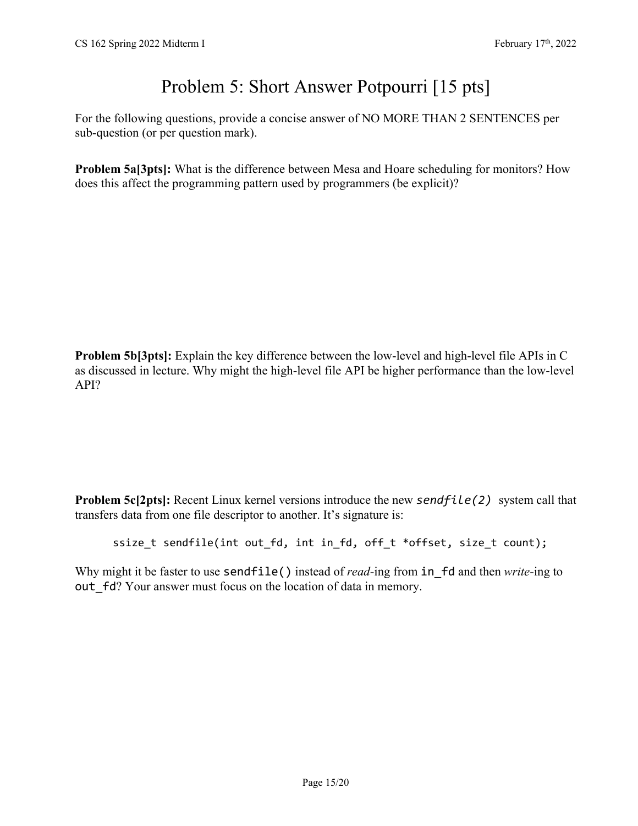# Problem 5: Short Answer Potpourri [15 pts]

For the following questions, provide a concise answer of NO MORE THAN 2 SENTENCES per sub-question (or per question mark).

**Problem 5a[3pts]:** What is the difference between Mesa and Hoare scheduling for monitors? How does this affect the programming pattern used by programmers (be explicit)?

**Problem 5b[3pts]:** Explain the key difference between the low-level and high-level file APIs in C as discussed in lecture. Why might the high-level file API be higher performance than the low-level API?

**Problem 5c[2pts]:** Recent Linux kernel versions introduce the new *sendfile(2)* system call that transfers data from one file descriptor to another. It's signature is:

ssize\_t sendfile(int out\_fd, int in\_fd, off\_t \*offset, size\_t count);

Why might it be faster to use **sendfile()** instead of *read*-ing from in fd and then *write*-ing to out fd? Your answer must focus on the location of data in memory.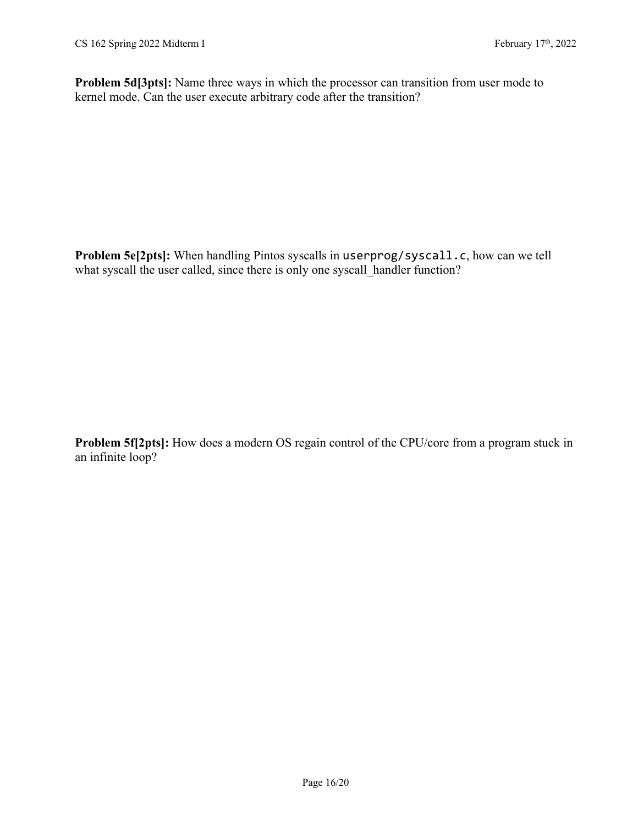**Problem 5d[3pts]:** Name three ways in which the processor can transition from user mode to kernel mode. Can the user execute arbitrary code after the transition?

**Problem 5e[2pts]:** When handling Pintos syscalls in userprog/syscall.c, how can we tell what syscall the user called, since there is only one syscall handler function?

**Problem 5f[2pts]:** How does a modern OS regain control of the CPU/core from a program stuck in an infinite loop?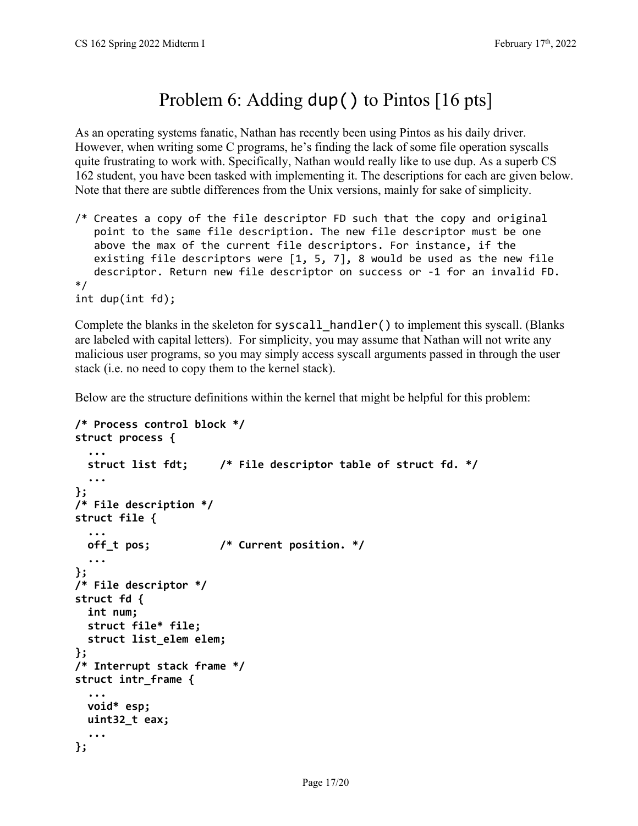# Problem 6: Adding dup () to Pintos [16 pts]

As an operating systems fanatic, Nathan has recently been using Pintos as his daily driver. However, when writing some C programs, he's finding the lack of some file operation syscalls quite frustrating to work with. Specifically, Nathan would really like to use dup. As a superb CS 162 student, you have been tasked with implementing it. The descriptions for each are given below. Note that there are subtle differences from the Unix versions, mainly for sake of simplicity.

/\* Creates a copy of the file descriptor FD such that the copy and original point to the same file description. The new file descriptor must be one above the max of the current file descriptors. For instance, if the existing file descriptors were [1, 5, 7], 8 would be used as the new file descriptor. Return new file descriptor on success or ‐1 for an invalid FD. \*/ int dup(int fd);

Complete the blanks in the skeleton for syscall  $h$  handler() to implement this syscall. (Blanks are labeled with capital letters). For simplicity, you may assume that Nathan will not write any malicious user programs, so you may simply access syscall arguments passed in through the user stack (i.e. no need to copy them to the kernel stack).

Below are the structure definitions within the kernel that might be helpful for this problem:

```
/* Process control block */
struct process {
    ...
    struct list fdt;     /* File descriptor table of struct fd. */
    ...
};  
/* File description */
struct file {
    ...
    off_t pos;           /* Current position. */
    ...
};  
/* File descriptor */
struct fd {
    int num;
    struct file* file;
    struct list_elem elem;
};
/* Interrupt stack frame */
struct intr_frame {
    ...
    void* esp;
    uint32_t eax;
  ...
};
```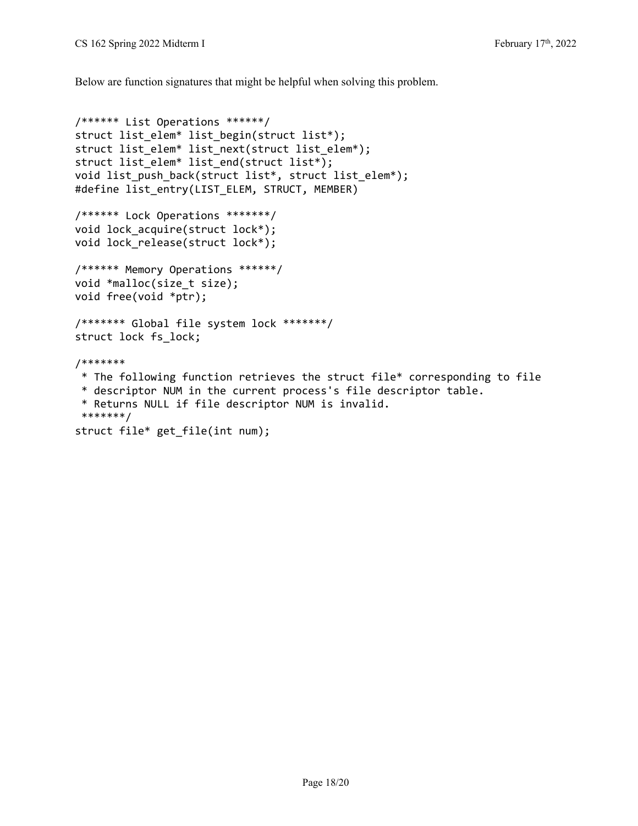Below are function signatures that might be helpful when solving this problem.

```
/****** List Operations ******/
struct list_elem* list_begin(struct list*);
struct list_elem* list_next(struct list_elem*);
struct list_elem* list_end(struct list*);
void list push back(struct list*, struct list elem*);
#define list_entry(LIST_ELEM, STRUCT, MEMBER)
/****** Lock Operations *******/
void lock_acquire(struct lock*);
void lock release(struct lock*);
/****** Memory Operations ******/
void *malloc(size_t size);
void free(void *ptr);
/******* Global file system lock *******/
struct lock fs_lock;
/*******
 * The following function retrieves the struct file* corresponding to file
 * descriptor NUM in the current process's file descriptor table.  
 * Returns NULL if file descriptor NUM is invalid.  
 *******/
struct file* get_file(int num);
```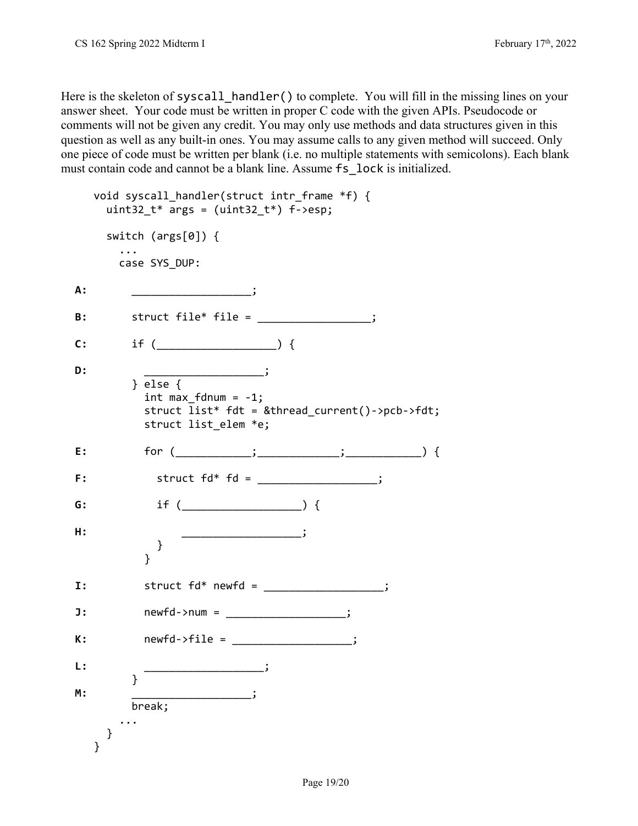Here is the skeleton of syscall handler() to complete. You will fill in the missing lines on your answer sheet. Your code must be written in proper C code with the given APIs. Pseudocode or comments will not be given any credit. You may only use methods and data structures given in this question as well as any built-in ones. You may assume calls to any given method will succeed. Only one piece of code must be written per blank (i.e. no multiple statements with semicolons). Each blank must contain code and cannot be a blank line. Assume fs\_lock is initialized.

```
void syscall handler(struct intr frame *f) {
     uint32 t* args = (uint32 t*) f->esp;
           switch (args[0]) {
                ...
               case SYS_DUP:
A: ___________________________;
B:       struct file* file = __________________;
C:       if (___________________) {
D:         ___________________;
                    } else {
            int max fdnum = -1;
                        struct list* fdt = &thread_current()‐>pcb‐>fdt;
                        struct list_elem *e;
E:         for (____________;_____________;____________) {   
F:           struct fd* fd = ___________________;
G: if ( \qquad \qquad ) {
H:           ___________________;
              }
            }
I:         struct fd* newfd = ___________________;
J:         newfd‐>num = ___________________;
K:         newfd‐>file = ___________________;
L: _________________________;
          }
M: ___________________________;
                   break;
                ...
           }
       }
```